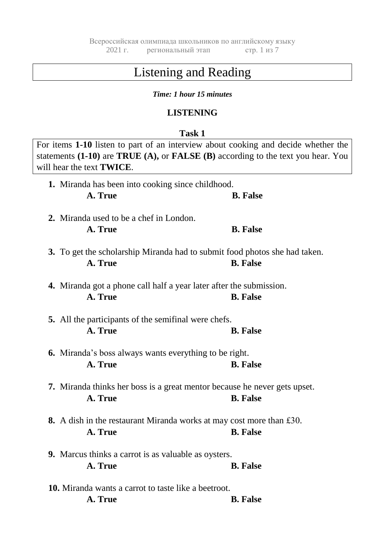# Listening and Reading

## *Time: 1 hour 15 minutes*

# **LISTENING**

## **Task 1**

| For items 1-10 listen to part of an interview about cooking and decide whether the<br>statements $(1-10)$ are TRUE $(A)$ , or FALSE $(B)$ according to the text you hear. You<br>will hear the text <b>TWICE</b> . |                 |
|--------------------------------------------------------------------------------------------------------------------------------------------------------------------------------------------------------------------|-----------------|
| 1. Miranda has been into cooking since childhood.<br>A. True                                                                                                                                                       | <b>B.</b> False |
| 2. Miranda used to be a chef in London.<br>A. True                                                                                                                                                                 | <b>B.</b> False |
| 3. To get the scholarship Miranda had to submit food photos she had taken.<br>A. True                                                                                                                              | <b>B.</b> False |
| 4. Miranda got a phone call half a year later after the submission.<br>A. True                                                                                                                                     | <b>B.</b> False |
| <b>5.</b> All the participants of the semifinal were chefs.<br>A. True                                                                                                                                             | <b>B.</b> False |
| <b>6.</b> Miranda's boss always wants everything to be right.<br>A. True                                                                                                                                           | <b>B.</b> False |
| <b>7.</b> Miranda thinks her boss is a great mentor because he never gets upset.<br>A. True                                                                                                                        | <b>B.</b> False |
| 8. A dish in the restaurant Miranda works at may cost more than £30.<br><b>Example 1 B.</b> False<br>A. True                                                                                                       |                 |
| <b>9.</b> Marcus thinks a carrot is as valuable as oysters.<br>A. True                                                                                                                                             | <b>B.</b> False |
| <b>10.</b> Miranda wants a carrot to taste like a beetroot.<br>A. True                                                                                                                                             | <b>B.</b> False |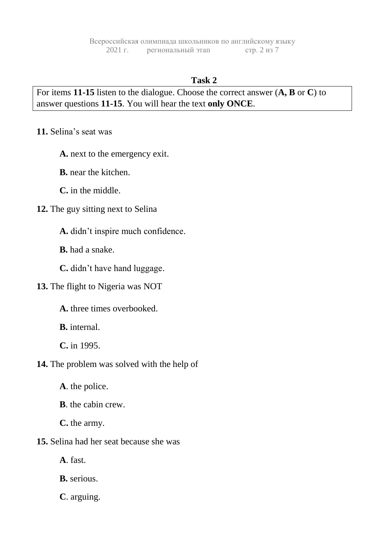# **Task 2**

For items **11-15** listen to the dialogue. Choose the correct answer (**A, B** or **C**) to answer questions **11-15**. You will hear the text **only ONCE**.

**11.** Selina's seat was

**A.** next to the emergency exit.

**B.** near the kitchen.

**C.** in the middle.

**12.** The guy sitting next to Selina

**A.** didn't inspire much confidence.

**B.** had a snake.

**C.** didn't have hand luggage.

**13.** The flight to Nigeria was NOT

**A.** three times overbooked.

**B.** internal.

**C.** in 1995.

**14.** The problem was solved with the help of

**A**. the police.

**B**. the cabin crew.

**C.** the army.

**15.** Selina had her seat because she was

**A**. fast.

**B.** serious.

**C**. arguing.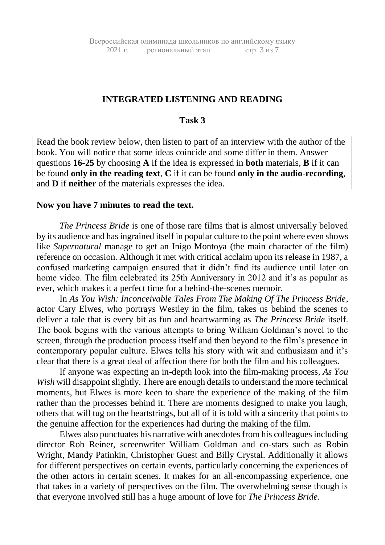## **INTEGRATED LISTENING AND READING**

#### **Task 3**

Read the book review below, then listen to part of an interview with the author of the book. You will notice that some ideas coincide and some differ in them. Answer questions **16-25** by choosing **A** if the idea is expressed in **both** materials, **B** if it can be found **only in the reading text**, **C** if it can be found **only in the audio-recording**, and **D** if **neither** of the materials expresses the idea.

#### **Now you have 7 minutes to read the text.**

*The Princess Bride* is one of those rare films that is almost universally beloved by its audience and has ingrained itself in popular culture to the point where even shows like *Supernatural* manage to get an Inigo Montoya (the main character of the film) reference on occasion. Although it met with critical acclaim upon its release in 1987, a confused marketing campaign ensured that it didn't find its audience until later on home video. The film celebrated its 25th Anniversary in 2012 and it's as popular as ever, which makes it a perfect time for a behind-the-scenes memoir.

In *As You Wish: Inconceivable Tales From The Making Of The Princess Bride*, actor Cary Elwes, who portrays Westley in the film, takes us behind the scenes to deliver a tale that is every bit as fun and heartwarming as *The Princess Bride* itself. The book begins with the various attempts to bring William Goldman's novel to the screen, through the production process itself and then beyond to the film's presence in contemporary popular culture. Elwes tells his story with wit and enthusiasm and it's clear that there is a great deal of affection there for both the film and his colleagues.

If anyone was expecting an in-depth look into the film-making process, *As You Wish* will disappoint slightly. There are enough details to understand the more technical moments, but Elwes is more keen to share the experience of the making of the film rather than the processes behind it. There are moments designed to make you laugh, others that will tug on the heartstrings, but all of it is told with a sincerity that points to the genuine affection for the experiences had during the making of the film.

Elwes also punctuates his narrative with anecdotes from his colleagues including director Rob Reiner, screenwriter William Goldman and co-stars such as Robin Wright, Mandy Patinkin, Christopher Guest and Billy Crystal. Additionally it allows for different perspectives on certain events, particularly concerning the experiences of the other actors in certain scenes. It makes for an all-encompassing experience, one that takes in a variety of perspectives on the film. The overwhelming sense though is that everyone involved still has a huge amount of love for *The Princess Bride*.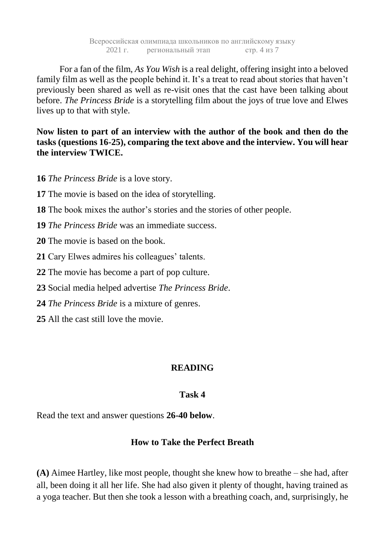Всероссийская олимпиада школьников по английскому языку 2021 г. региональный этап стр. 4 из 7

For a fan of the film, *As You Wish* is a real delight, offering insight into a beloved family film as well as the people behind it. It's a treat to read about stories that haven't previously been shared as well as re-visit ones that the cast have been talking about before. *The Princess Bride* is a storytelling film about the joys of true love and Elwes lives up to that with style.

**Now listen to part of an interview with the author of the book and then do the tasks (questions 16-25), comparing the text above and the interview. You will hear the interview TWICE.**

**16** *The Princess Bride* is a love story.

- **17** The movie is based on the idea of storytelling.
- **18** The book mixes the author's stories and the stories of other people.
- **19** *The Princess Bride* was an immediate success.
- **20** The movie is based on the book.
- **21** Cary Elwes admires his colleagues' talents.
- **22** The movie has become a part of pop culture.
- **23** Social media helped advertise *The Princess Bride*.
- **24** *The Princess Bride* is a mixture of genres.
- **25** All the cast still love the movie.

## **READING**

#### **Task 4**

Read the text and answer questions **26-40 below**.

## **How to Take the Perfect Breath**

**(A)** Aimee Hartley, like most people, thought she knew how to breathe – she had, after all, been doing it all her life. She had also given it plenty of thought, having trained as a yoga teacher. But then she took a lesson with a breathing coach, and, surprisingly, he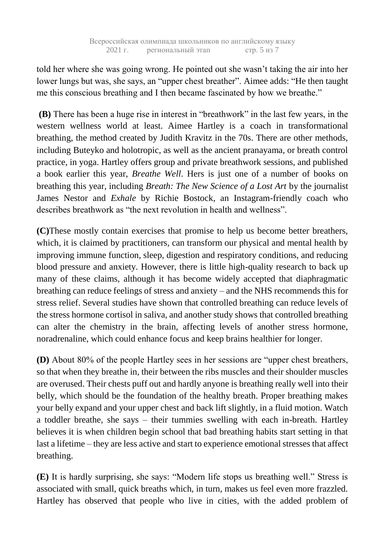told her where she was going wrong. He pointed out she wasn't taking the air into her lower lungs but was, she says, an "upper chest breather". Aimee adds: "He then taught me this conscious breathing and I then became fascinated by how we breathe."

**(B)** There has been a huge rise in interest in "breathwork" in the last few years, in the western wellness world at least. Aimee Hartley is a coach in transformational breathing, the method created by Judith Kravitz in the 70s. There are other methods, including Buteyko and holotropic, as well as the ancient pranayama, or breath control practice, in yoga. Hartley offers group and private breathwork sessions, and published a book earlier this year, *Breathe Well*. Hers is just one of a number of books on breathing this year, including *Breath: The New Science of a Lost Art* by the journalist James Nestor and *Exhale* by Richie Bostock, an Instagram-friendly coach who describes breathwork as "the next revolution in health and wellness".

**(C)**These mostly contain exercises that promise to help us become better breathers, which, it is claimed by practitioners, can transform our physical and mental health by improving immune function, sleep, digestion and respiratory conditions, and reducing blood pressure and anxiety. However, there is little high-quality research to back up many of these claims, although it has become widely accepted that diaphragmatic breathing can reduce feelings of stress and anxiety – and the NHS recommends this for stress relief. Several studies have shown that controlled breathing can reduce levels of the stress hormone cortisol in saliva, and another study shows that controlled breathing can alter the chemistry in the brain, affecting levels of another stress hormone, noradrenaline, which could enhance focus and keep brains healthier for longer.

**(D)** About 80% of the people Hartley sees in her sessions are "upper chest breathers, so that when they breathe in, their between the ribs muscles and their shoulder muscles are overused. Their chests puff out and hardly anyone is breathing really well into their belly, which should be the foundation of the healthy breath. Proper breathing makes your belly expand and your upper chest and back lift slightly, in a fluid motion. Watch a toddler breathe, she says – their tummies swelling with each in-breath. Hartley believes it is when children begin school that bad breathing habits start setting in that last a lifetime – they are less active and start to experience emotional stresses that affect breathing.

**(E)** It is hardly surprising, she says: "Modern life stops us breathing well." Stress is associated with small, quick breaths which, in turn, makes us feel even more frazzled. Hartley has observed that people who live in cities, with the added problem of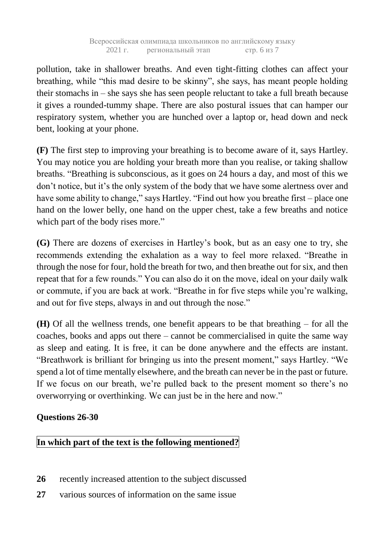pollution, take in shallower breaths. And even tight-fitting clothes can affect your breathing, while "this mad desire to be skinny", she says, has meant people holding their stomachs in – she says she has seen people reluctant to take a full breath because it gives a rounded-tummy shape. There are also postural issues that can hamper our respiratory system, whether you are hunched over a laptop or, head down and neck bent, looking at your phone.

**(F)** The first step to improving your breathing is to become aware of it, says Hartley. You may notice you are holding your breath more than you realise, or taking shallow breaths. "Breathing is subconscious, as it goes on 24 hours a day, and most of this we don't notice, but it's the only system of the body that we have some alertness over and have some ability to change," says Hartley. "Find out how you breathe first – place one hand on the lower belly, one hand on the upper chest, take a few breaths and notice which part of the body rises more."

**(G)** There are dozens of exercises in Hartley's book, but as an easy one to try, she recommends extending the exhalation as a way to feel more relaxed. "Breathe in through the nose for four, hold the breath for two, and then breathe out for six, and then repeat that for a few rounds." You can also do it on the move, ideal on your daily walk or commute, if you are back at work. "Breathe in for five steps while you're walking, and out for five steps, always in and out through the nose."

**(H)** Of all the wellness trends, one benefit appears to be that breathing – for all the coaches, books and apps out there – cannot be commercialised in quite the same way as sleep and eating. It is free, it can be done anywhere and the effects are instant. "Breathwork is brilliant for bringing us into the present moment," says Hartley. "We spend a lot of time mentally elsewhere, and the breath can never be in the past or future. If we focus on our breath, we're pulled back to the present moment so there's no overworrying or overthinking. We can just be in the here and now."

# **Questions 26-30**

# **In which part of the text is the following mentioned?**

- **26** recently increased attention to the subject discussed
- **27** various sources of information on the same issue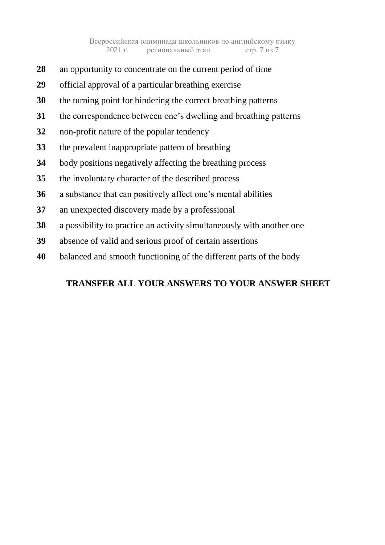- an opportunity to concentrate on the current period of time
- official approval of a particular breathing exercise
- the turning point for hindering the correct breathing patterns
- the correspondence between one's dwelling and breathing patterns
- non-profit nature of the popular tendency
- the prevalent inappropriate pattern of breathing
- body positions negatively affecting the breathing process
- the involuntary character of the described process
- a substance that can positively affect one's mental abilities
- an unexpected discovery made by a professional
- a possibility to practice an activity simultaneously with another one
- absence of valid and serious proof of certain assertions
- balanced and smooth functioning of the different parts of the body

# **TRANSFER ALL YOUR ANSWERS TO YOUR ANSWER SHEET**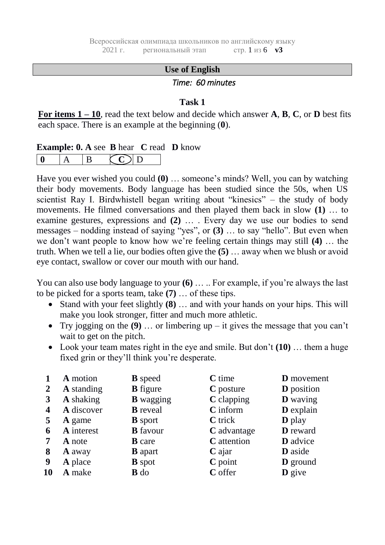#### **Use of English**

#### *Time: 60 minutes*

#### **Task 1**

**For items 1 – 10**, read the text below and decide which answer **A**, **B**, **C**, or **D** best fits each space. There is an example at the beginning (**0**).

#### **Example: 0. A** see **B** hear **C** read **D** know

Have you ever wished you could **(0)** … someone's minds? Well, you can by watching their body movements. Body language has been studied since the 50s, when US scientist Ray I. Birdwhistell began writing about "kinesics" – the study of body movements. He filmed conversations and then played them back in slow **(1)** … to examine gestures, expressions and **(2)** … . Every day we use our bodies to send messages – nodding instead of saying "yes", or **(3)** … to say "hello". But even when we don't want people to know how we're feeling certain things may still **(4)** … the truth. When we tell a lie, our bodies often give the **(5)** … away when we blush or avoid eye contact, swallow or cover our mouth with our hand.

You can also use body language to your **(6)** ... .. For example, if you're always the last to be picked for a sports team, take **(7)** … of these tips.

- Stand with your feet slightly **(8)** … and with your hands on your hips. This will make you look stronger, fitter and much more athletic.
- Try jogging on the **(9)** … or limbering up it gives the message that you can't wait to get on the pitch.
- Look your team mates right in the eye and smile. But don't **(10)** … them a huge fixed grin or they'll think you're desperate.

|                | A motion          | <b>B</b> speed   | $C$ time           | <b>D</b> movement |
|----------------|-------------------|------------------|--------------------|-------------------|
| $\overline{2}$ | <b>A</b> standing | <b>B</b> figure  | C posture          | <b>D</b> position |
| 3              | A shaking         | <b>B</b> wagging | C clapping         | <b>D</b> waving   |
| 4              | A discover        | <b>B</b> reveal  | C inform           | D explain         |
| 5              | <b>A</b> game     | <b>B</b> sport   | <b>C</b> trick     | <b>D</b> play     |
| 6              | A interest        | <b>B</b> favour  | C advantage        | <b>D</b> reward   |
|                | <b>A</b> note     | <b>B</b> care    | <b>C</b> attention | <b>D</b> advice   |
| 8              | <b>A</b> away     | <b>B</b> apart   | $C$ ajar           | <b>D</b> aside    |
| 9              | A place           | <b>B</b> spot    | $C$ point          | <b>D</b> ground   |
| 10             | A make            | $\mathbf{B}$ do  | C offer            | $\mathbf{D}$ give |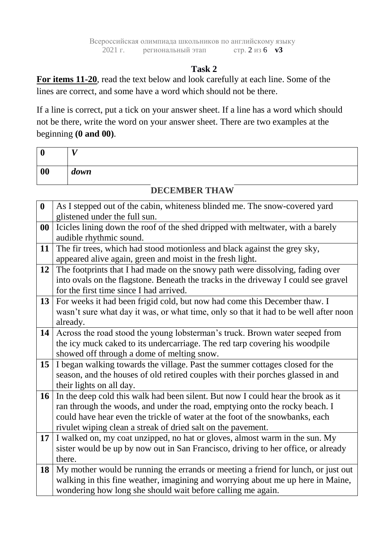# **Task 2**

**For items 11-20**, read the text below and look carefully at each line. Some of the lines are correct, and some have a word which should not be there.

If a line is correct, put a tick on your answer sheet. If a line has a word which should not be there, write the word on your answer sheet. There are two examples at the beginning **(0 and 00)**.

| ι         | $\mathbf{r}$ |
|-----------|--------------|
| $\bf{00}$ | down         |

# **DECEMBER THAW**

| $\boldsymbol{0}$ | As I stepped out of the cabin, whiteness blinded me. The snow-covered yard           |
|------------------|--------------------------------------------------------------------------------------|
|                  | glistened under the full sun.                                                        |
| 00               | Icicles lining down the roof of the shed dripped with meltwater, with a barely       |
|                  | audible rhythmic sound.                                                              |
| 11               | The fir trees, which had stood motionless and black against the grey sky,            |
|                  | appeared alive again, green and moist in the fresh light.                            |
| 12               | The footprints that I had made on the snowy path were dissolving, fading over        |
|                  | into ovals on the flagstone. Beneath the tracks in the driveway I could see gravel   |
|                  | for the first time since I had arrived.                                              |
| 13               | For weeks it had been frigid cold, but now had come this December thaw. I            |
|                  | wasn't sure what day it was, or what time, only so that it had to be well after noon |
|                  | already.                                                                             |
| 14               | Across the road stood the young lobsterman's truck. Brown water seeped from          |
|                  | the icy muck caked to its undercarriage. The red tarp covering his woodpile          |
|                  | showed off through a dome of melting snow.                                           |
| 15               | I began walking towards the village. Past the summer cottages closed for the         |
|                  | season, and the houses of old retired couples with their porches glassed in and      |
|                  | their lights on all day.                                                             |
| 16               | In the deep cold this walk had been silent. But now I could hear the brook as it     |
|                  | ran through the woods, and under the road, emptying onto the rocky beach. I          |
|                  | could have hear even the trickle of water at the foot of the snowbanks, each         |
|                  | rivulet wiping clean a streak of dried salt on the pavement.                         |
| 17               | I walked on, my coat unzipped, no hat or gloves, almost warm in the sun. My          |
|                  | sister would be up by now out in San Francisco, driving to her office, or already    |
|                  | there.                                                                               |
| 18               | My mother would be running the errands or meeting a friend for lunch, or just out    |
|                  | walking in this fine weather, imagining and worrying about me up here in Maine,      |
|                  | wondering how long she should wait before calling me again.                          |
|                  |                                                                                      |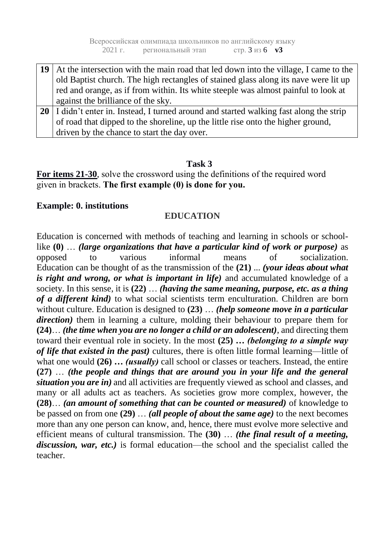Всероссийская олимпиада школьников по английскому языку 2021 г. региональный этап стр. 3 из 6 **v3**

**19** At the intersection with the main road that led down into the village, I came to the old Baptist church. The high rectangles of stained glass along its nave were lit up red and orange, as if from within. Its white steeple was almost painful to look at against the brilliance of the sky. 20 I didn't enter in. Instead, I turned around and started walking fast along the strip of road that dipped to the shoreline, up the little rise onto the higher ground, driven by the chance to start the day over.

## **Task 3**

**For items 21-30**, solve the crossword using the definitions of the required word given in brackets. **The first example (0) is done for you.**

## **Example: 0. institutions**

## **EDUCATION**

Education is concerned with methods of [teaching](https://www.britannica.com/topic/teaching) and [learning](https://www.britannica.com/science/learning) in schools or schoollike **(0)** … *(large organizations that have a particular kind of work or purpose)* as opposed to various informal means of [socialization.](https://www.britannica.com/science/socialization) Education can be thought of as the transmission of the **(21)** ... *(your ideas about what is right and wrong, or what is important in life)* and accumulated knowledge of a society. In this sense, it is **(22)** … *(having the same meaning, purpose, etc. as a thing of a different kind)* to what social scientists term enculturation. Children are born without [culture.](https://www.merriam-webster.com/dictionary/culture) Education is designed to **(23)** … *(help someone move in a particular direction)* them in learning a culture, molding their behaviour to prepare them for **(24)**… *(the time when you are no longer a child or an adolescent)*, and directing them toward their eventual role in society. In the most **(25)** *… (belonging to a simple way of life that existed in the past)* [cultures,](https://www.merriam-webster.com/dictionary/cultures) there is often little formal learning—little of what one would **(26)** *… (usually)* call school or classes or [teachers.](https://www.britannica.com/topic/teaching) Instead, the entire **(27)** … *(the people and things that are around you in your life and the general situation you are in)* and all activities are frequently viewed as school and classes, and many or all adults act as teachers. As societies grow more complex, however, the **(28)**… *(an amount of something that can be counted or measured)* of knowledge to be passed on from one **(29)** … *(all people of about the same age)* to the next becomes more than any one person can know, and, hence, there must evolve more selective and efficient means of cultural transmission. The **(30)** … *(the final result of a meeting, discussion, war, etc.)* is formal education—the school and the specialist called the teacher.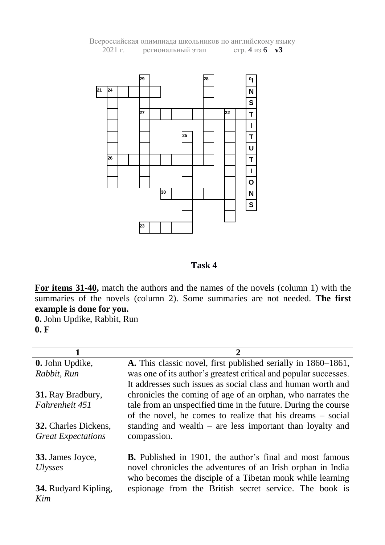

Всероссийская олимпиада школьников по английскому языку 2021 г. региональный этап стр. 4 из 6 **v3**

#### **Task 4**

For items 31-40, match the authors and the names of the novels (column 1) with the summaries of the novels (column 2). Some summaries are not needed. **The first example is done for you.**

**0.** John Updike, Rabbit, Run **0. F**

| 0. John Updike,             | A. This classic novel, first published serially in 1860–1861,    |
|-----------------------------|------------------------------------------------------------------|
| Rabbit, Run                 | was one of its author's greatest critical and popular successes. |
|                             | It addresses such issues as social class and human worth and     |
| 31. Ray Bradbury,           | chronicles the coming of age of an orphan, who narrates the      |
| Fahrenheit 451              | tale from an unspecified time in the future. During the course   |
|                             | of the novel, he comes to realize that his dreams – social       |
| <b>32.</b> Charles Dickens, | standing and wealth $-$ are less important than loyalty and      |
| <b>Great Expectations</b>   | compassion.                                                      |
|                             |                                                                  |
| 33. James Joyce,            | <b>B.</b> Published in 1901, the author's final and most famous  |
| <i>Ulysses</i>              | novel chronicles the adventures of an Irish orphan in India      |
|                             | who becomes the disciple of a Tibetan monk while learning        |
| <b>34.</b> Rudyard Kipling, | espionage from the British secret service. The book is           |
| Kim                         |                                                                  |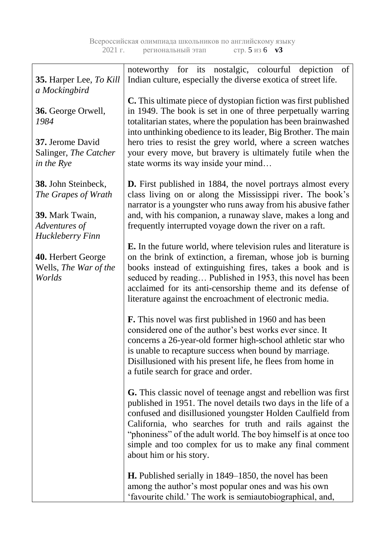| <b>35.</b> Harper Lee, To Kill                                                                     | noteworthy for its nostalgic, colourful depiction<br>of<br>Indian culture, especially the diverse exotica of street life.                                                                                                                                                                                                                                                                                                 |
|----------------------------------------------------------------------------------------------------|---------------------------------------------------------------------------------------------------------------------------------------------------------------------------------------------------------------------------------------------------------------------------------------------------------------------------------------------------------------------------------------------------------------------------|
| a Mockingbird                                                                                      |                                                                                                                                                                                                                                                                                                                                                                                                                           |
| 36. George Orwell,<br>1984                                                                         | <b>C.</b> This ultimate piece of dystopian fiction was first published<br>in 1949. The book is set in one of three perpetually warring<br>totalitarian states, where the population has been brainwashed<br>into unthinking obedience to its leader, Big Brother. The main                                                                                                                                                |
| 37. Jerome David<br>Salinger, The Catcher<br>in the Rye                                            | hero tries to resist the grey world, where a screen watches<br>your every move, but bravery is ultimately futile when the<br>state worms its way inside your mind                                                                                                                                                                                                                                                         |
| 38. John Steinbeck,<br>The Grapes of Wrath<br>39. Mark Twain,<br>Adventures of<br>Huckleberry Finn | <b>D.</b> First published in 1884, the novel portrays almost every<br>class living on or along the Mississippi river. The book's<br>narrator is a youngster who runs away from his abusive father<br>and, with his companion, a runaway slave, makes a long and<br>frequently interrupted voyage down the river on a raft.                                                                                                |
| 40. Herbert George<br>Wells, The War of the<br>Worlds                                              | E. In the future world, where television rules and literature is<br>on the brink of extinction, a fireman, whose job is burning<br>books instead of extinguishing fires, takes a book and is<br>seduced by reading Published in 1953, this novel has been<br>acclaimed for its anti-censorship theme and its defense of<br>literature against the encroachment of electronic media.                                       |
|                                                                                                    | <b>F.</b> This novel was first published in 1960 and has been<br>considered one of the author's best works ever since. It<br>concerns a 26-year-old former high-school athletic star who<br>is unable to recapture success when bound by marriage.<br>Disillusioned with his present life, he flees from home in<br>a futile search for grace and order.                                                                  |
|                                                                                                    | <b>G.</b> This classic novel of teenage angst and rebellion was first<br>published in 1951. The novel details two days in the life of a<br>confused and disillusioned youngster Holden Caulfield from<br>California, who searches for truth and rails against the<br>"phoniness" of the adult world. The boy himself is at once too<br>simple and too complex for us to make any final comment<br>about him or his story. |
|                                                                                                    | <b>H.</b> Published serially in 1849–1850, the novel has been<br>among the author's most popular ones and was his own<br>'favourite child.' The work is semiautobiographical, and,                                                                                                                                                                                                                                        |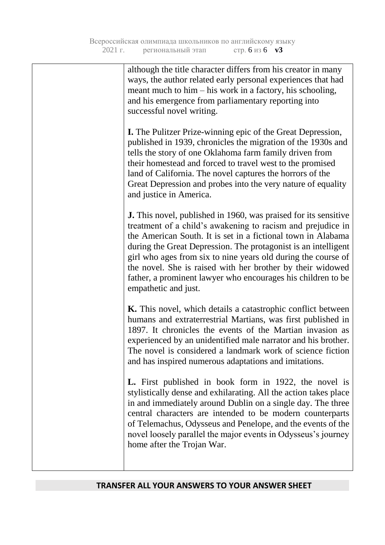although the title character differs from his creator in many ways, the author related early personal experiences that had meant much to him – his work in a factory, his schooling, and his emergence from parliamentary reporting into successful novel writing.

**I.** The Pulitzer Prize-winning epic of the Great Depression, published in 1939, chronicles the migration of the 1930s and tells the story of one Oklahoma farm family driven from their homestead and forced to travel west to the promised land of California. The novel captures the horrors of the Great Depression and probes into the very nature of equality and justice in America.

**J.** This novel, published in 1960, was praised for its sensitive treatment of a child's awakening to racism and [prejudice](https://www.britannica.com/topic/prejudice) in the [American South.](https://www.britannica.com/place/the-South-region) It is set in a fictional town in Alabama during the [Great Depression.](https://www.britannica.com/event/Great-Depression) The [protagonist](https://www.britannica.com/art/protagonist) is an intelligent girl who ages from six to nine years old during the course of the novel. She is raised with her brother by their widowed father, a prominent lawyer who encourages his children to be empathetic and just.

**K.** This novel, which details a catastrophic conflict between humans and extraterrestrial Martians, was first published in 1897. It chronicles the events of the Martian invasion as experienced by an unidentified male narrator and his brother. The novel is considered a landmark work of science fiction and has inspired numerous adaptations and imitations.

**L.** First published in book form in 1922, the novel is stylistically dense and exhilarating. All the action takes place in and immediately around [Dublin](https://www.britannica.com/place/Dublin) on a single day. The three central characters are intended to be modern counterparts of [Telemachus,](https://www.britannica.com/topic/Telemachus-Greek-mythological-character) Odysseus and [Penelope,](https://www.britannica.com/topic/Penelope-Greek-mythology) and the events of the novel loosely parallel the major events in Odysseus's journey home after the [Trojan](https://www.britannica.com/event/Trojan-War) War.